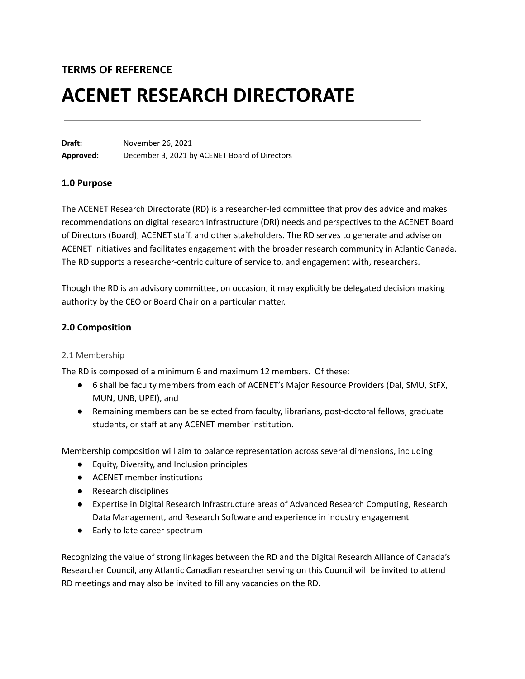# **TERMS OF REFERENCE**

# **ACENET RESEARCH DIRECTORATE**

**Draft:** November 26, 2021 **Approved:** December 3, 2021 by ACENET Board of Directors

#### **1.0 Purpose**

The ACENET Research Directorate (RD) is a researcher-led committee that provides advice and makes recommendations on digital research infrastructure (DRI) needs and perspectives to the ACENET Board of Directors (Board), ACENET staff, and other stakeholders. The RD serves to generate and advise on ACENET initiatives and facilitates engagement with the broader research community in Atlantic Canada. The RD supports a researcher-centric culture of service to, and engagement with, researchers.

Though the RD is an advisory committee, on occasion, it may explicitly be delegated decision making authority by the CEO or Board Chair on a particular matter.

### **2.0 Composition**

#### 2.1 Membership

The RD is composed of a minimum 6 and maximum 12 members. Of these:

- 6 shall be faculty members from each of ACENET's Major Resource Providers (Dal, SMU, StFX, MUN, UNB, UPEI), and
- Remaining members can be selected from faculty, librarians, post-doctoral fellows, graduate students, or staff at any ACENET member institution.

Membership composition will aim to balance representation across several dimensions, including

- Equity, Diversity, and Inclusion principles
- ACENET member institutions
- Research disciplines
- Expertise in Digital Research Infrastructure areas of Advanced Research Computing, Research Data Management, and Research Software and experience in industry engagement
- Early to late career spectrum

Recognizing the value of strong linkages between the RD and the Digital Research Alliance of Canada's Researcher Council, any Atlantic Canadian researcher serving on this Council will be invited to attend RD meetings and may also be invited to fill any vacancies on the RD.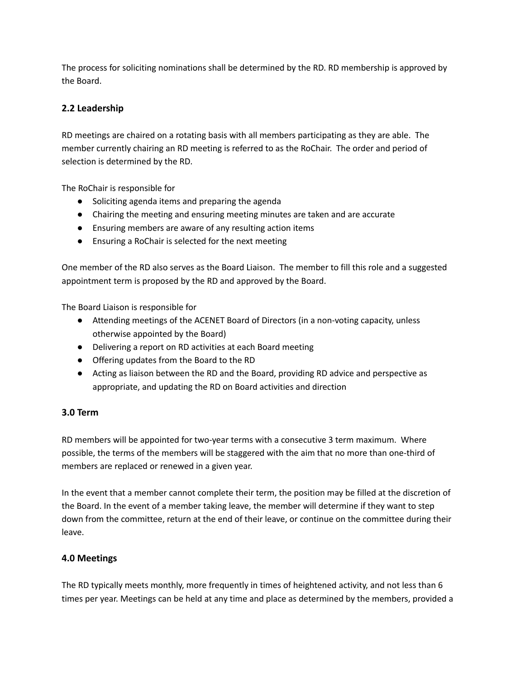The process for soliciting nominations shall be determined by the RD. RD membership is approved by the Board.

## **2.2 Leadership**

RD meetings are chaired on a rotating basis with all members participating as they are able. The member currently chairing an RD meeting is referred to as the RoChair. The order and period of selection is determined by the RD.

The RoChair is responsible for

- Soliciting agenda items and preparing the agenda
- Chairing the meeting and ensuring meeting minutes are taken and are accurate
- Ensuring members are aware of any resulting action items
- Ensuring a RoChair is selected for the next meeting

One member of the RD also serves as the Board Liaison. The member to fill this role and a suggested appointment term is proposed by the RD and approved by the Board.

The Board Liaison is responsible for

- Attending meetings of the ACENET Board of Directors (in a non-voting capacity, unless otherwise appointed by the Board)
- Delivering a report on RD activities at each Board meeting
- Offering updates from the Board to the RD
- Acting as liaison between the RD and the Board, providing RD advice and perspective as appropriate, and updating the RD on Board activities and direction

### **3.0 Term**

RD members will be appointed for two-year terms with a consecutive 3 term maximum. Where possible, the terms of the members will be staggered with the aim that no more than one-third of members are replaced or renewed in a given year.

In the event that a member cannot complete their term, the position may be filled at the discretion of the Board. In the event of a member taking leave, the member will determine if they want to step down from the committee, return at the end of their leave, or continue on the committee during their leave.

### **4.0 Meetings**

The RD typically meets monthly, more frequently in times of heightened activity, and not less than 6 times per year. Meetings can be held at any time and place as determined by the members, provided a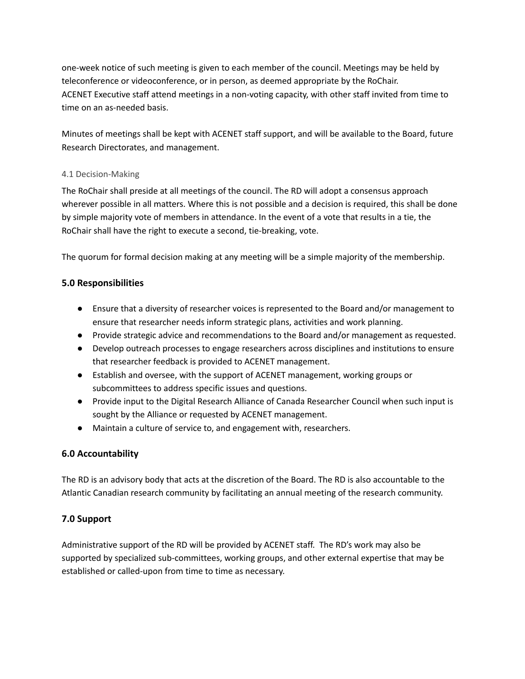one-week notice of such meeting is given to each member of the council. Meetings may be held by teleconference or videoconference, or in person, as deemed appropriate by the RoChair. ACENET Executive staff attend meetings in a non-voting capacity, with other staff invited from time to time on an as-needed basis.

Minutes of meetings shall be kept with ACENET staff support, and will be available to the Board, future Research Directorates, and management.

### 4.1 Decision-Making

The RoChair shall preside at all meetings of the council. The RD will adopt a consensus approach wherever possible in all matters. Where this is not possible and a decision is required, this shall be done by simple majority vote of members in attendance. In the event of a vote that results in a tie, the RoChair shall have the right to execute a second, tie-breaking, vote.

The quorum for formal decision making at any meeting will be a simple majority of the membership.

## **5.0 Responsibilities**

- Ensure that a diversity of researcher voices is represented to the Board and/or management to ensure that researcher needs inform strategic plans, activities and work planning.
- Provide strategic advice and recommendations to the Board and/or management as requested.
- Develop outreach processes to engage researchers across disciplines and institutions to ensure that researcher feedback is provided to ACENET management.
- Establish and oversee, with the support of ACENET management, working groups or subcommittees to address specific issues and questions.
- Provide input to the Digital Research Alliance of Canada Researcher Council when such input is sought by the Alliance or requested by ACENET management.
- Maintain a culture of service to, and engagement with, researchers.

### **6.0 Accountability**

The RD is an advisory body that acts at the discretion of the Board. The RD is also accountable to the Atlantic Canadian research community by facilitating an annual meeting of the research community.

## **7.0 Support**

Administrative support of the RD will be provided by ACENET staff. The RD's work may also be supported by specialized sub-committees, working groups, and other external expertise that may be established or called-upon from time to time as necessary.